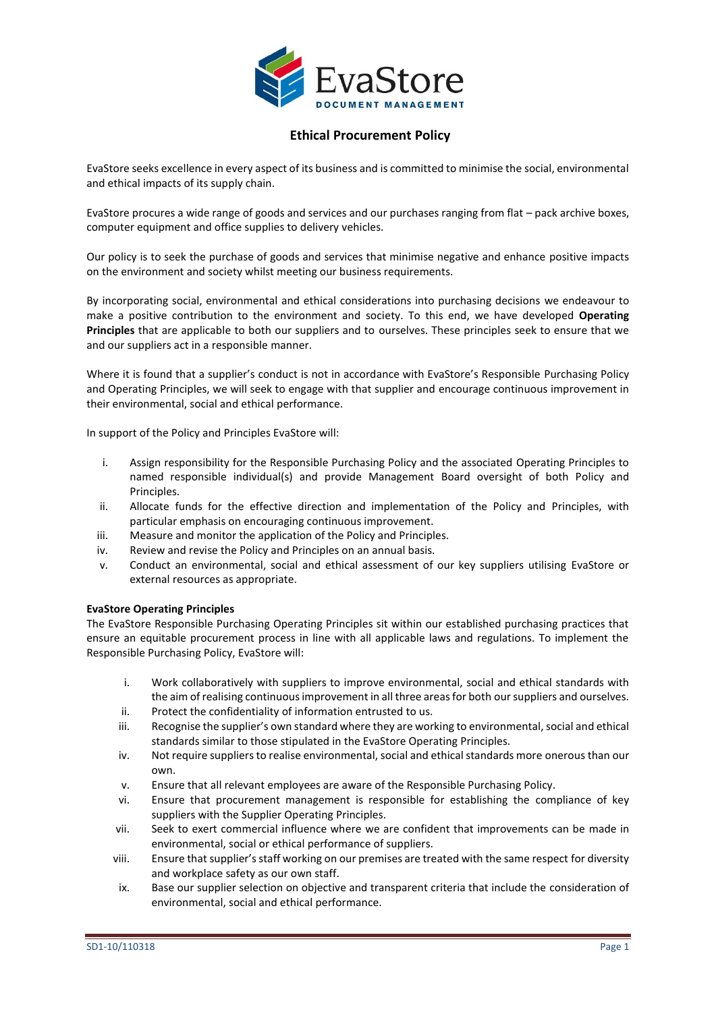

EvaStore seeks excellence in every aspect of its business and is committed to minimise the social, environmental and ethical impacts of its supply chain.

EvaStore procures a wide range of goods and services and our purchases ranging from flat – pack archive boxes, computer equipment and office supplies to delivery vehicles.

Our policy is to seek the purchase of goods and services that minimise negative and enhance positive impacts on the environment and society whilst meeting our business requirements.

By incorporating social, environmental and ethical considerations into purchasing decisions we endeavour to make a positive contribution to the environment and society. To this end, we have developed **Operating Principles** that are applicable to both our suppliers and to ourselves. These principles seek to ensure that we and our suppliers act in a responsible manner.

Where it is found that a supplier's conduct is not in accordance with EvaStore's Responsible Purchasing Policy and Operating Principles, we will seek to engage with that supplier and encourage continuous improvement in their environmental, social and ethical performance.

In support of the Policy and Principles EvaStore will:

- i. Assign responsibility for the Responsible Purchasing Policy and the associated Operating Principles to named responsible individual(s) and provide Management Board oversight of both Policy and Principles.
- ii. Allocate funds for the effective direction and implementation of the Policy and Principles, with particular emphasis on encouraging continuous improvement.
- iii. Measure and monitor the application of the Policy and Principles.
- iv. Review and revise the Policy and Principles on an annual basis.
- v. Conduct an environmental, social and ethical assessment of our key suppliers utilising EvaStore or external resources as appropriate.

### **EvaStore Operating Principles**

The EvaStore Responsible Purchasing Operating Principles sit within our established purchasing practices that ensure an equitable procurement process in line with all applicable laws and regulations. To implement the Responsible Purchasing Policy, EvaStore will:

- i. Work collaboratively with suppliers to improve environmental, social and ethical standards with the aim of realising continuous improvement in all three areas for both our suppliers and ourselves.
- ii. Protect the confidentiality of information entrusted to us.
- iii. Recognise the supplier's own standard where they are working to environmental, social and ethical standards similar to those stipulated in the EvaStore Operating Principles.
- iv. Not require suppliers to realise environmental, social and ethical standards more onerous than our own.
- v. Ensure that all relevant employees are aware of the Responsible Purchasing Policy.
- vi. Ensure that procurement management is responsible for establishing the compliance of key suppliers with the Supplier Operating Principles.
- vii. Seek to exert commercial influence where we are confident that improvements can be made in environmental, social or ethical performance of suppliers.
- viii. Ensure that supplier's staff working on our premises are treated with the same respect for diversity and workplace safety as our own staff.
- ix. Base our supplier selection on objective and transparent criteria that include the consideration of environmental, social and ethical performance.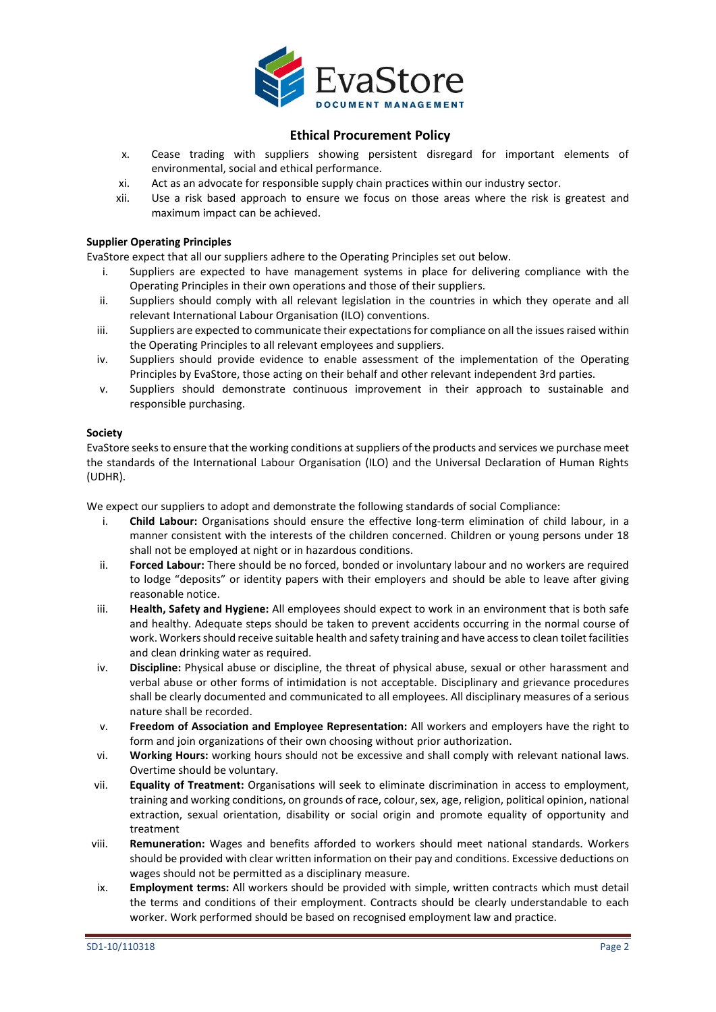

- x. Cease trading with suppliers showing persistent disregard for important elements of environmental, social and ethical performance.
- xi. Act as an advocate for responsible supply chain practices within our industry sector.
- xii. Use a risk based approach to ensure we focus on those areas where the risk is greatest and maximum impact can be achieved.

## **Supplier Operating Principles**

EvaStore expect that all our suppliers adhere to the Operating Principles set out below.

- i. Suppliers are expected to have management systems in place for delivering compliance with the Operating Principles in their own operations and those of their suppliers.
- ii. Suppliers should comply with all relevant legislation in the countries in which they operate and all relevant International Labour Organisation (ILO) conventions.
- iii. Suppliers are expected to communicate their expectations for compliance on all the issues raised within the Operating Principles to all relevant employees and suppliers.
- iv. Suppliers should provide evidence to enable assessment of the implementation of the Operating Principles by EvaStore, those acting on their behalf and other relevant independent 3rd parties.
- v. Suppliers should demonstrate continuous improvement in their approach to sustainable and responsible purchasing.

### **Society**

EvaStore seeks to ensure that the working conditions at suppliers of the products and services we purchase meet the standards of the International Labour Organisation (ILO) and the Universal Declaration of Human Rights (UDHR).

We expect our suppliers to adopt and demonstrate the following standards of social Compliance:

- i. **Child Labour:** Organisations should ensure the effective long-term elimination of child labour, in a manner consistent with the interests of the children concerned. Children or young persons under 18 shall not be employed at night or in hazardous conditions.
- ii. **Forced Labour:** There should be no forced, bonded or involuntary labour and no workers are required to lodge "deposits" or identity papers with their employers and should be able to leave after giving reasonable notice.
- iii. **Health, Safety and Hygiene:** All employees should expect to work in an environment that is both safe and healthy. Adequate steps should be taken to prevent accidents occurring in the normal course of work. Workers should receive suitable health and safety training and have access to clean toilet facilities and clean drinking water as required.
- iv. **Discipline:** Physical abuse or discipline, the threat of physical abuse, sexual or other harassment and verbal abuse or other forms of intimidation is not acceptable. Disciplinary and grievance procedures shall be clearly documented and communicated to all employees. All disciplinary measures of a serious nature shall be recorded.
- v. **Freedom of Association and Employee Representation:** All workers and employers have the right to form and join organizations of their own choosing without prior authorization.
- vi. **Working Hours:** working hours should not be excessive and shall comply with relevant national laws. Overtime should be voluntary.
- vii. **Equality of Treatment:** Organisations will seek to eliminate discrimination in access to employment, training and working conditions, on grounds of race, colour, sex, age, religion, political opinion, national extraction, sexual orientation, disability or social origin and promote equality of opportunity and treatment
- viii. **Remuneration:** Wages and benefits afforded to workers should meet national standards. Workers should be provided with clear written information on their pay and conditions. Excessive deductions on wages should not be permitted as a disciplinary measure.
- ix. **Employment terms:** All workers should be provided with simple, written contracts which must detail the terms and conditions of their employment. Contracts should be clearly understandable to each worker. Work performed should be based on recognised employment law and practice.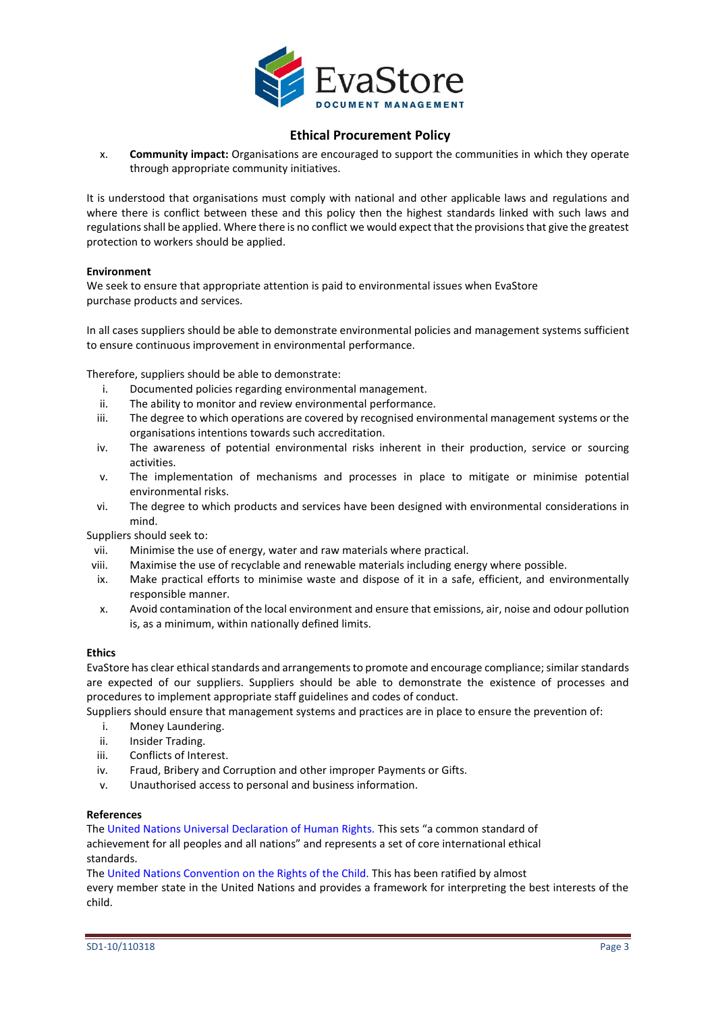

x. **Community impact:** Organisations are encouraged to support the communities in which they operate through appropriate community initiatives.

It is understood that organisations must comply with national and other applicable laws and regulations and where there is conflict between these and this policy then the highest standards linked with such laws and regulations shall be applied. Where there is no conflict we would expect that the provisions that give the greatest protection to workers should be applied.

#### **Environment**

We seek to ensure that appropriate attention is paid to environmental issues when EvaStore purchase products and services.

In all cases suppliers should be able to demonstrate environmental policies and management systems sufficient to ensure continuous improvement in environmental performance.

Therefore, suppliers should be able to demonstrate:

- i. Documented policies regarding environmental management.
- ii. The ability to monitor and review environmental performance.
- iii. The degree to which operations are covered by recognised environmental management systems or the organisations intentions towards such accreditation.
- iv. The awareness of potential environmental risks inherent in their production, service or sourcing activities.
- v. The implementation of mechanisms and processes in place to mitigate or minimise potential environmental risks.
- vi. The degree to which products and services have been designed with environmental considerations in mind.

Suppliers should seek to:

- vii. Minimise the use of energy, water and raw materials where practical.
- viii. Maximise the use of recyclable and renewable materials including energy where possible.
- ix. Make practical efforts to minimise waste and dispose of it in a safe, efficient, and environmentally responsible manner.
- x. Avoid contamination of the local environment and ensure that emissions, air, noise and odour pollution is, as a minimum, within nationally defined limits.

#### **Ethics**

EvaStore has clear ethical standards and arrangements to promote and encourage compliance; similar standards are expected of our suppliers. Suppliers should be able to demonstrate the existence of processes and procedures to implement appropriate staff guidelines and codes of conduct.

Suppliers should ensure that management systems and practices are in place to ensure the prevention of:

- i. Money Laundering.
- ii. Insider Trading.
- iii. Conflicts of Interest.
- iv. Fraud, Bribery and Corruption and other improper Payments or Gifts.
- v. Unauthorised access to personal and business information.

#### **References**

The United Nations Universal Declaration of Human Rights. This sets "a common standard of achievement for all peoples and all nations" and represents a set of core international ethical standards.

The United Nations Convention on the Rights of the Child. This has been ratified by almost

every member state in the United Nations and provides a framework for interpreting the best interests of the child.